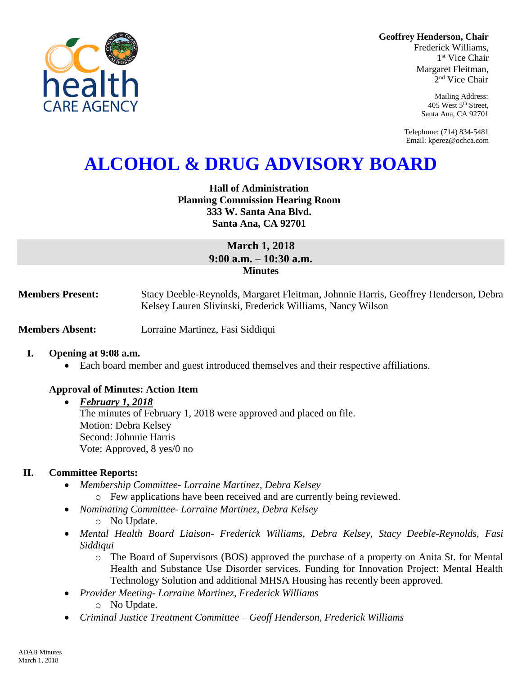**Geoffrey Henderson, Chair**

Frederick Williams, 1 st Vice Chair Margaret Fleitman, 2 nd Vice Chair

> Mailing Address: 405 West 5th Street, Santa Ana, CA 92701

Telephone: (714) 834-5481 Email: kperez@ochca.com

# **ALCOHOL & DRUG ADVISORY BOARD**

## **Hall of Administration Planning Commission Hearing Room 333 W. Santa Ana Blvd. Santa Ana, CA 92701**

# **March 1, 2018 9:00 a.m. – 10:30 a.m. Minutes**

**Members Present:** Stacy Deeble-Reynolds, Margaret Fleitman, Johnnie Harris, Geoffrey Henderson, Debra Kelsey Lauren Slivinski, Frederick Williams, Nancy Wilson

**Members Absent:** Lorraine Martinez, Fasi Siddiqui

## **I. Opening at 9:08 a.m.**

Each board member and guest introduced themselves and their respective affiliations.

## **Approval of Minutes: Action Item**

*February 1, 2018*

The minutes of February 1, 2018 were approved and placed on file. Motion: Debra Kelsey Second: Johnnie Harris Vote: Approved, 8 yes/0 no

## **II. Committee Reports:**

- *Membership Committee- Lorraine Martinez, Debra Kelsey* 
	- o Few applications have been received and are currently being reviewed.
- *Nominating Committee- Lorraine Martinez, Debra Kelsey*
	- o No Update.
- *Mental Health Board Liaison- Frederick Williams, Debra Kelsey, Stacy Deeble-Reynolds, Fasi Siddiqui*
	- o The Board of Supervisors (BOS) approved the purchase of a property on Anita St. for Mental Health and Substance Use Disorder services. Funding for Innovation Project: Mental Health Technology Solution and additional MHSA Housing has recently been approved.
- *Provider Meeting- Lorraine Martinez, Frederick Williams*
	- o No Update.
- *Criminal Justice Treatment Committee – Geoff Henderson, Frederick Williams*

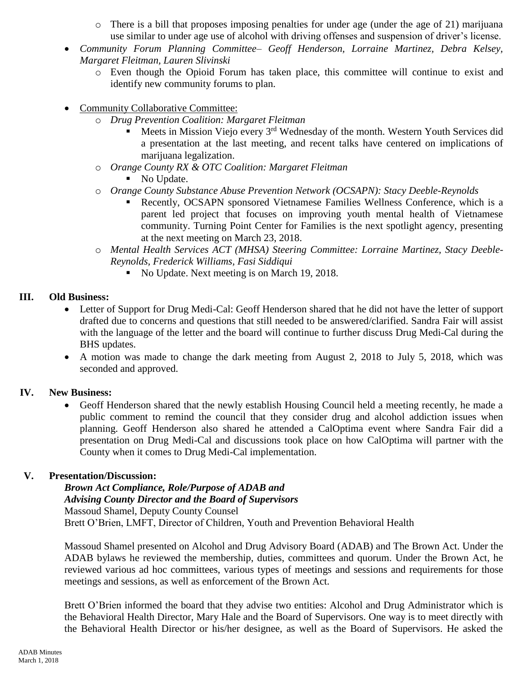- $\circ$  There is a bill that proposes imposing penalties for under age (under the age of 21) marijuana use similar to under age use of alcohol with driving offenses and suspension of driver's license.
- *Community Forum Planning Committee– Geoff Henderson, Lorraine Martinez, Debra Kelsey, Margaret Fleitman, Lauren Slivinski*
	- o Even though the Opioid Forum has taken place, this committee will continue to exist and identify new community forums to plan.
- Community Collaborative Committee:
	- o *Drug Prevention Coalition: Margaret Fleitman*
		- Meets in Mission Viejo every  $3<sup>rd</sup>$  Wednesday of the month. Western Youth Services did a presentation at the last meeting, and recent talks have centered on implications of marijuana legalization.
	- o *Orange County RX & OTC Coalition: Margaret Fleitman*
		- No Update.
	- o *Orange County Substance Abuse Prevention Network (OCSAPN): Stacy Deeble-Reynolds*
		- Recently, OCSAPN sponsored Vietnamese Families Wellness Conference, which is a parent led project that focuses on improving youth mental health of Vietnamese community. Turning Point Center for Families is the next spotlight agency, presenting at the next meeting on March 23, 2018.
	- o *Mental Health Services ACT (MHSA) Steering Committee: Lorraine Martinez, Stacy Deeble-Reynolds, Frederick Williams, Fasi Siddiqui*
		- No Update. Next meeting is on March 19, 2018.

## **III. Old Business:**

- Letter of Support for Drug Medi-Cal: Geoff Henderson shared that he did not have the letter of support drafted due to concerns and questions that still needed to be answered/clarified. Sandra Fair will assist with the language of the letter and the board will continue to further discuss Drug Medi-Cal during the BHS updates.
- A motion was made to change the dark meeting from August 2, 2018 to July 5, 2018, which was seconded and approved.

# **IV. New Business:**

 Geoff Henderson shared that the newly establish Housing Council held a meeting recently, he made a public comment to remind the council that they consider drug and alcohol addiction issues when planning. Geoff Henderson also shared he attended a CalOptima event where Sandra Fair did a presentation on Drug Medi-Cal and discussions took place on how CalOptima will partner with the County when it comes to Drug Medi-Cal implementation.

## **V. Presentation/Discussion:**

## *Brown Act Compliance, Role/Purpose of ADAB and Advising County Director and the Board of Supervisors* Massoud Shamel, Deputy County Counsel Brett O'Brien, LMFT, Director of Children, Youth and Prevention Behavioral Health

Massoud Shamel presented on Alcohol and Drug Advisory Board (ADAB) and The Brown Act. Under the ADAB bylaws he reviewed the membership, duties, committees and quorum. Under the Brown Act, he reviewed various ad hoc committees, various types of meetings and sessions and requirements for those meetings and sessions, as well as enforcement of the Brown Act.

Brett O'Brien informed the board that they advise two entities: Alcohol and Drug Administrator which is the Behavioral Health Director, Mary Hale and the Board of Supervisors. One way is to meet directly with the Behavioral Health Director or his/her designee, as well as the Board of Supervisors. He asked the